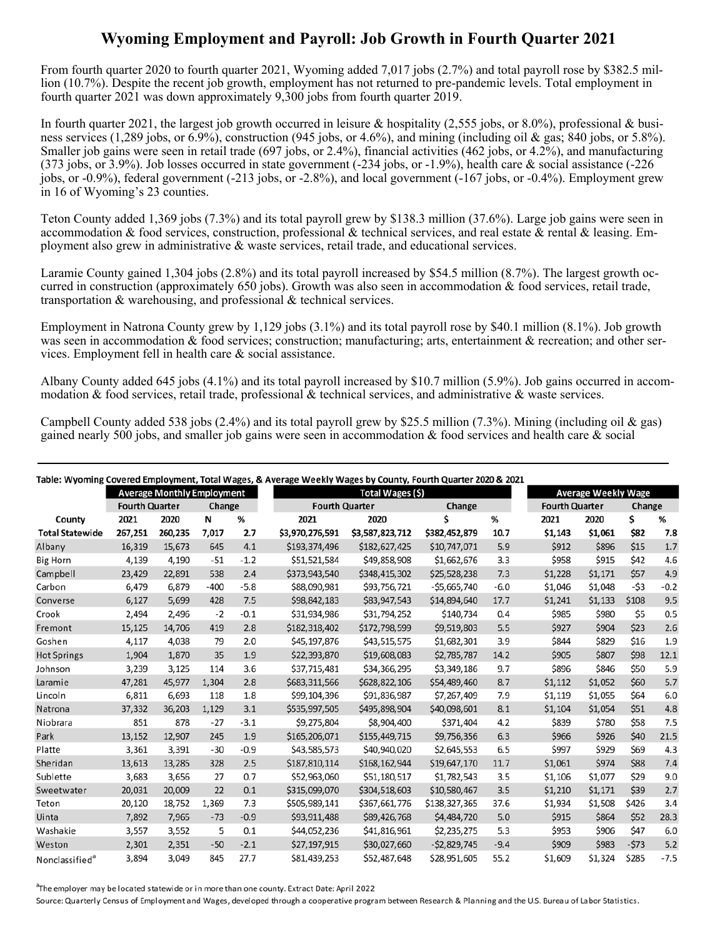## **Wyoming Employment and Payroll: Job Growth in Fourth Quarter 2021**

From fourth quarter 2020 to fourth quarter 2021, Wyoming added 7,017 jobs (2.7%) and total payroll rose by \$382.5 million (10.7%). Despite the recent job growth, employment has not returned to pre-pandemic levels. Total employment in fourth quarter 2021 was down approximately 9,300 jobs from fourth quarter 2019.

In fourth quarter 2021, the largest job growth occurred in leisure & hospitality (2,555 jobs, or 8.0%), professional & business services (1,289 jobs, or 6.9%), construction (945 jobs, or 4.6%), and mining (including oil & gas; 840 jobs, or 5.8%). Smaller job gains were seen in retail trade (697 jobs, or 2.4%), financial activities (462 jobs, or 4.2%), and manufacturing (373 jobs, or 3.9%). Job losses occurred in state government (-234 jobs, or -1.9%), health care & social assistance (-226 jobs, or -0.9%), federal government (-213 jobs, or -2.8%), and local government (-167 jobs, or -0.4%). Employment grew in 16 of Wyoming's 23 counties.

Teton County added 1,369 jobs (7.3%) and its total payroll grew by \$138.3 million (37.6%). Large job gains were seen in accommodation & food services, construction, professional & technical services, and real estate & rental & leasing. Employment also grew in administrative & waste services, retail trade, and educational services.

Laramie County gained 1,304 jobs (2.8%) and its total payroll increased by \$54.5 million (8.7%). The largest growth occurred in construction (approximately 650 jobs). Growth was also seen in accommodation & food services, retail trade, transportation & warehousing, and professional & technical services.

Employment in Natrona County grew by 1,129 jobs (3.1%) and its total payroll rose by \$40.1 million (8.1%). Job growth was seen in accommodation & food services; construction; manufacturing; arts, entertainment & recreation; and other services. Employment fell in health care & social assistance.

Albany County added 645 jobs (4.1%) and its total payroll increased by \$10.7 million (5.9%). Job gains occurred in accommodation & food services, retail trade, professional & technical services, and administrative & waste services.

Campbell County added 538 jobs (2.4%) and its total payroll grew by \$25.5 million (7.3%). Mining (including oil & gas) gained nearly 500 jobs, and smaller job gains were seen in accommodation & food services and health care & social

|                            |                                   |         |        |        | Table: Wyoming Covered Employment, Total Wages, & Average Weekly Wages by County, Fourth Quarter 2020 & 2021 |                 |                 |        |                            |         |        |        |
|----------------------------|-----------------------------------|---------|--------|--------|--------------------------------------------------------------------------------------------------------------|-----------------|-----------------|--------|----------------------------|---------|--------|--------|
|                            | <b>Average Monthly Employment</b> |         |        |        | Total Wages (\$)                                                                                             |                 |                 |        | <b>Average Weekly Wage</b> |         |        |        |
|                            | <b>Fourth Quarter</b>             |         | Change |        | <b>Fourth Quarter</b>                                                                                        |                 | Change          |        | <b>Fourth Quarter</b>      |         | Change |        |
| County                     | 2021                              | 2020    | N      | %      | 2021                                                                                                         | 2020            | Ś               | %      | 2021                       | 2020    | \$     | %      |
| <b>Total Statewide</b>     | 267,251                           | 260,235 | 7,017  | 2.7    | \$3,970,276,591                                                                                              | \$3,587,823,712 | \$382,452,879   | 10.7   | \$1,143                    | \$1,061 | \$82   | 7.8    |
| Albany                     | 16,319                            | 15,673  | 645    | 4.1    | \$193,374,496                                                                                                | \$182,627,425   | \$10,747,071    | 5.9    | \$912                      | \$896   | \$15   | 1.7    |
| <b>Big Horn</b>            | 4,139                             | 4,190   | -51    | $-1.2$ | \$51,521,584                                                                                                 | \$49,858,908    | \$1,662,676     | 3.3    | \$958                      | \$915   | \$42   | 4.6    |
| Campbell                   | 23,429                            | 22,891  | 538    | 2.4    | \$373,943,540                                                                                                | \$348,415,302   | \$25,528,238    | 7.3    | \$1,228                    | \$1,171 | \$57   | 4.9    |
| Carbon                     | 6,479                             | 6,879   | $-400$ | $-5.8$ | \$88,090,981                                                                                                 | \$93,756,721    | $-$ \$5,665,740 | $-6.0$ | \$1,046                    | \$1,048 | $-53$  | $-0.2$ |
| Converse                   | 6,127                             | 5,699   | 428    | 7.5    | \$98,842,183                                                                                                 | \$83,947,543    | \$14,894,640    | 17.7   | \$1,241                    | \$1,133 | \$108  | 9.5    |
| Crook                      | 2,494                             | 2,496   | $-2$   | $-0.1$ | \$31,934,986                                                                                                 | \$31,794,252    | \$140,734       | 0.4    | \$985                      | \$980   | \$5    | 0.5    |
| Fremont                    | 15,125                            | 14,706  | 419    | 2.8    | \$182,318,402                                                                                                | \$172,798,599   | \$9,519,803     | 5.5    | \$927                      | \$904   | \$23   | 2.6    |
| Goshen                     | 4,117                             | 4,038   | 79     | 2.0    | \$45,197,876                                                                                                 | \$43,515,575    | \$1,682,301     | 3.9    | \$844                      | \$829   | \$16   | 1.9    |
| <b>Hot Springs</b>         | 1,904                             | 1,870   | 35     | 1.9    | \$22,393,870                                                                                                 | \$19,608,083    | \$2,785,787     | 14.2   | \$905                      | \$807   | \$98   | 12.1   |
| Johnson                    | 3,239                             | 3,125   | 114    | 3.6    | \$37,715,481                                                                                                 | \$34,366,295    | \$3,349,186     | 9.7    | \$896                      | \$846   | \$50   | 5.9    |
| Laramie                    | 47,281                            | 45,977  | 1,304  | 2.8    | \$683,311,566                                                                                                | \$628,822,106   | \$54,489,460    | 8.7    | \$1,112                    | \$1,052 | \$60   | 5.7    |
| Lincoln                    | 6,811                             | 6,693   | 118    | 1.8    | \$99,104,396                                                                                                 | \$91,836,987    | \$7,267,409     | 7.9    | \$1,119                    | \$1,055 | \$64   | 6.0    |
| Natrona                    | 37,332                            | 36,203  | 1,129  | 3.1    | \$535,997,505                                                                                                | \$495,898,904   | \$40,098,601    | 8.1    | \$1,104                    | \$1,054 | \$51   | 4.8    |
| Niobrara                   | 851                               | 878     | $-27$  | $-3.1$ | \$9,275,804                                                                                                  | \$8,904,400     | \$371,404       | 4.2    | \$839                      | \$780   | \$58   | 7.5    |
| Park                       | 13,152                            | 12,907  | 245    | 1.9    | \$165,206,071                                                                                                | \$155,449,715   | \$9,756,356     | 6.3    | \$966                      | \$926   | \$40   | 21.5   |
| Platte                     | 3,361                             | 3,391   | $-30$  | $-0.9$ | \$43,585,573                                                                                                 | \$40,940,020    | \$2,645,553     | 6.5    | \$997                      | \$929   | \$69   | 4.3    |
| Sheridan                   | 13,613                            | 13,285  | 328    | 2.5    | \$187,810,114                                                                                                | \$168,162,944   | \$19,647,170    | 11.7   | \$1,061                    | \$974   | \$88   | 7.4    |
| Sublette                   | 3,683                             | 3,656   | 27     | 0.7    | \$52,963,060                                                                                                 | \$51,180,517    | \$1,782,543     | 3.5    | \$1,106                    | \$1,077 | \$29   | 9.0    |
| Sweetwater                 | 20,031                            | 20,009  | 22     | 0.1    | \$315,099,070                                                                                                | \$304,518,603   | \$10,580,467    | 3.5    | \$1,210                    | \$1,171 | \$39   | 2.7    |
| Teton                      | 20,120                            | 18,752  | 1,369  | 7.3    | \$505,989,141                                                                                                | \$367,661,776   | \$138,327,365   | 37.6   | \$1,934                    | \$1,508 | \$426  | 3.4    |
| Uinta                      | 7,892                             | 7,965   | $-73$  | $-0.9$ | \$93,911,488                                                                                                 | \$89,426,768    | \$4,484,720     | 5.0    | \$915                      | \$864   | \$52   | 28.3   |
| Washakie                   | 3,557                             | 3,552   | 5      | 0.1    | \$44,052,236                                                                                                 | \$41,816,961    | \$2,235,275     | 5.3    | \$953                      | \$906   | \$47   | 6.0    |
| Weston                     | 2,301                             | 2,351   | $-50$  | $-2.1$ | \$27,197,915                                                                                                 | \$30,027,660    | $-52,829,745$   | $-9.4$ | \$909                      | \$983   | $-573$ | 5.2    |
| Nonclassified <sup>a</sup> | 3,894                             | 3,049   | 845    | 27.7   | \$81,439,253                                                                                                 | \$52,487,648    | \$28,951,605    | 55.2   | \$1,609                    | \$1,324 | \$285  | $-7.5$ |

<sup>a</sup>The employer may be located statewide or in more than one county. Extract Date: April 2022

Source: Quarterly Census of Employment and Wages, developed through a cooperative program between Research & Planning and the U.S. Bureau of Labor Statistics.